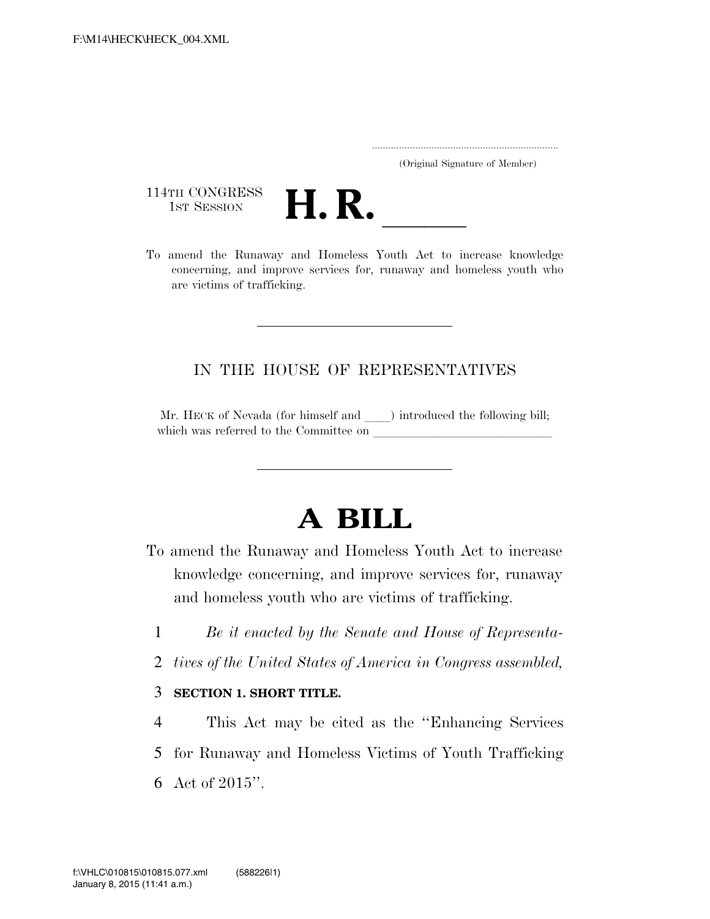..................................................................... (Original Signature of Member)

114TH CONGRESS<br>1st Session



114TH CONGRESS<br>1st SESSION **H. R.** <u>Increase knowledge</u><br>To amend the Runaway and Homeless Youth Act to increase knowledge concerning, and improve services for, runaway and homeless youth who are victims of trafficking.

## IN THE HOUSE OF REPRESENTATIVES

Mr. HECK of Nevada (for himself and ) introduced the following bill; which was referred to the Committee on

## **A BILL**

- To amend the Runaway and Homeless Youth Act to increase knowledge concerning, and improve services for, runaway and homeless youth who are victims of trafficking.
	- 1 *Be it enacted by the Senate and House of Representa-*
	- 2 *tives of the United States of America in Congress assembled,*

## 3 **SECTION 1. SHORT TITLE.**

- 4 This Act may be cited as the ''Enhancing Services
- 5 for Runaway and Homeless Victims of Youth Trafficking
- 6 Act of 2015''.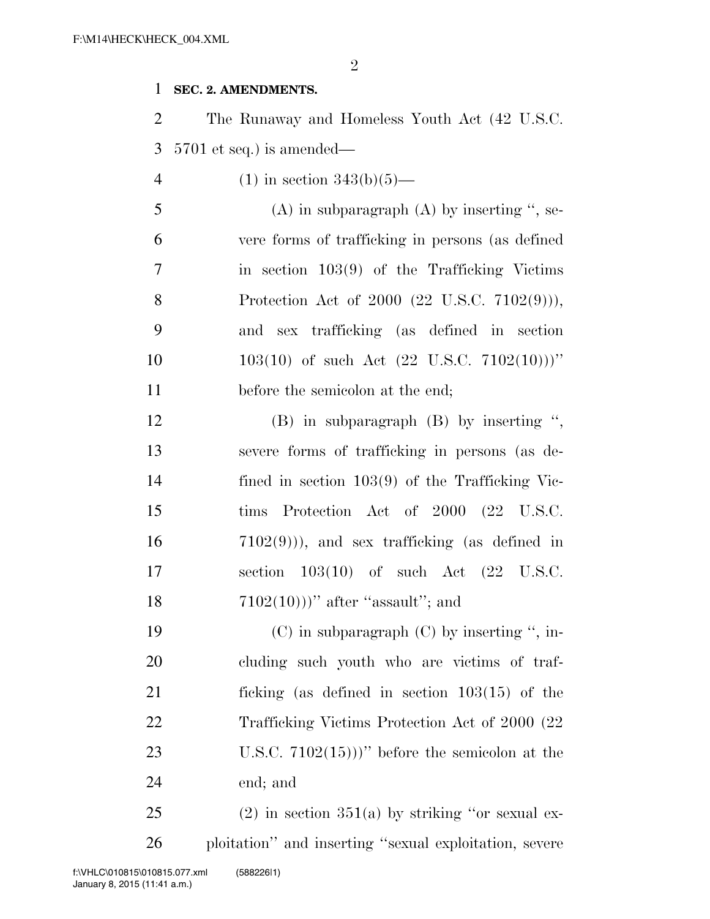2

## 1 **SEC. 2. AMENDMENTS.**

2 The Runaway and Homeless Youth Act (42 U.S.C. 3 5701 et seq.) is amended—

4 (1) in section  $343(b)(5)$ —

5 (A) in subparagraph  $(A)$  by inserting ", se-6 vere forms of trafficking in persons (as defined 7 in section 103(9) of the Trafficking Victims 8 Protection Act of 2000 (22 U.S.C. 7102(9))), 9 and sex trafficking (as defined in section 10  $103(10)$  of such Act  $(22 \text{ U.S.C. } 7102(10)))''$ 11 before the semicolon at the end;

 (B) in subparagraph (B) by inserting '', severe forms of trafficking in persons (as de- fined in section 103(9) of the Trafficking Vic- tims Protection Act of 2000 (22 U.S.C. 7102(9))), and sex trafficking (as defined in section 103(10) of such Act (22 U.S.C.  $7102(10)$ )'' after "assault"; and

19 (C) in subparagraph (C) by inserting ", in- cluding such youth who are victims of traf- ficking (as defined in section 103(15) of the 22 Trafficking Victims Protection Act of 2000 (22 U.S.C. 7102(15)))'' before the semicolon at the end; and

25 (2) in section  $351(a)$  by striking "or sexual ex-26 ploitation'' and inserting ''sexual exploitation, severe